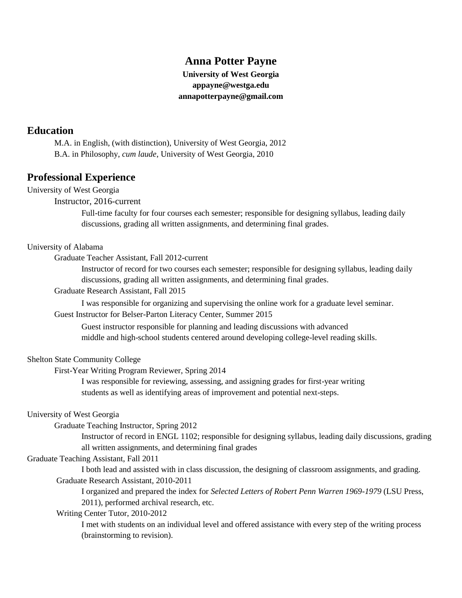## **Anna Potter Payne**

**University of West Georgia [appayne@westga.edu](mailto:appayne@westga.edu) annapotterpayne@gmail.com**

## **Education**

 M.A. in English, (with distinction), University of West Georgia, 2012 B.A. in Philosophy, *cum laude*, University of West Georgia, 2010

## **Professional Experience**

### University of West Georgia

Instructor, 2016-current

Full-time faculty for four courses each semester; responsible for designing syllabus, leading daily discussions, grading all written assignments, and determining final grades.

### University of Alabama

### Graduate Teacher Assistant, Fall 2012-current

Instructor of record for two courses each semester; responsible for designing syllabus, leading daily discussions, grading all written assignments, and determining final grades.

### Graduate Research Assistant, Fall 2015

I was responsible for organizing and supervising the online work for a graduate level seminar.

Guest Instructor for Belser-Parton Literacy Center, Summer 2015

Guest instructor responsible for planning and leading discussions with advanced middle and high-school students centered around developing college-level reading skills.

#### Shelton State Community College

First-Year Writing Program Reviewer, Spring 2014

I was responsible for reviewing, assessing, and assigning grades for first-year writing students as well as identifying areas of improvement and potential next-steps.

### University of West Georgia

Graduate Teaching Instructor, Spring 2012

Instructor of record in ENGL 1102; responsible for designing syllabus, leading daily discussions, grading all written assignments, and determining final grades

#### Graduate Teaching Assistant, Fall 2011

I both lead and assisted with in class discussion, the designing of classroom assignments, and grading. Graduate Research Assistant, 2010-2011

I organized and prepared the index for *Selected Letters of Robert Penn Warren 1969-1979* (LSU Press, 2011), performed archival research, etc.

#### Writing Center Tutor, 2010-2012

I met with students on an individual level and offered assistance with every step of the writing process (brainstorming to revision).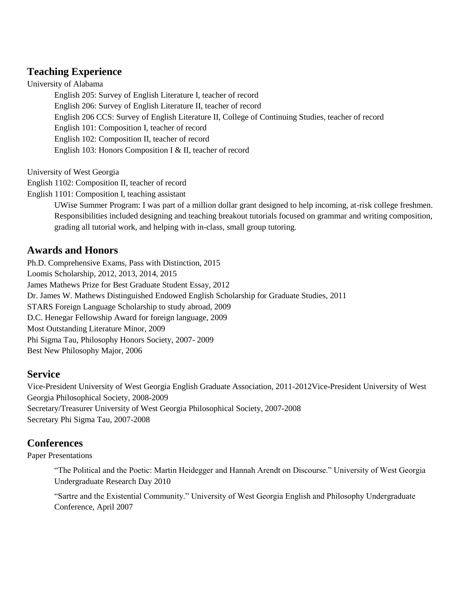# **Teaching Experience**

University of Alabama

English 205: Survey of English Literature I, teacher of record English 206: Survey of English Literature II, teacher of record English 206 CCS: Survey of English Literature II, College of Continuing Studies, teacher of record English 101: Composition I, teacher of record English 102: Composition II, teacher of record English 103: Honors Composition I & II, teacher of record

University of West Georgia

English 1102: Composition II, teacher of record

English 1101: Composition I, teaching assistant

UWise Summer Program: I was part of a million dollar grant designed to help incoming, at-risk college freshmen. Responsibilities included designing and teaching breakout tutorials focused on grammar and writing composition, grading all tutorial work, and helping with in-class, small group tutoring.

# **Awards and Honors**

Ph.D. Comprehensive Exams, Pass with Distinction, 2015 Loomis Scholarship, 2012, 2013, 2014, 2015 James Mathews Prize for Best Graduate Student Essay, 2012 Dr. James W. Mathews Distinguished Endowed English Scholarship for Graduate Studies, 2011 STARS Foreign Language Scholarship to study abroad, 2009 D.C. Henegar Fellowship Award for foreign language, 2009 Most Outstanding Literature Minor, 2009 Phi Sigma Tau, Philosophy Honors Society, 2007- 2009 Best New Philosophy Major, 2006

# **Service**

Vice-President University of West Georgia English Graduate Association, 2011-2012Vice-President University of West Georgia Philosophical Society, 2008-2009 Secretary/Treasurer University of West Georgia Philosophical Society, 2007-2008 Secretary Phi Sigma Tau, 2007-2008

# **Conferences**

Paper Presentations

"The Political and the Poetic: Martin Heidegger and Hannah Arendt on Discourse." University of West Georgia Undergraduate Research Day 2010

"Sartre and the Existential Community." University of West Georgia English and Philosophy Undergraduate Conference, April 2007